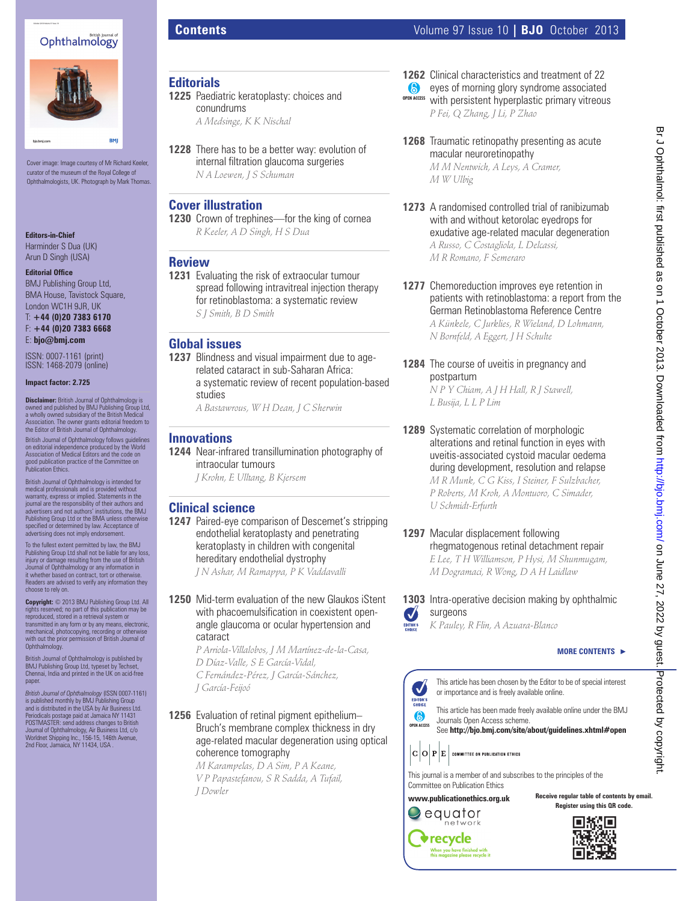# Ophthalmology



Cover image: Image courtesy of Mr Richard Keeler, curator of the museum of the Royal College of Ophthalmologists, UK. Photograph by Mark Thomas.

**Editors-in-Chief** Harminder S Dua (UK) Arun D Singh (USA)

**Editorial Office** 

BMJ Publishing Group Ltd, BMA House, Tavistock Square, London WC1H 9JR, UK

T: **+44 (0)20 7383 6170** F: **+44 (0)20 7383 6668** E: **bjo@bmj.com**

ISSN: 0007-1161 (print) ISSN: 1468-2079 (online)

**Impact factor: 2.725**

**Disclaimer:** British Journal of Ophthalmology is owned and published by BMJ Publishing Group Ltd, a wholly owned subsidiary of the British Medical Association. The owner grants editorial freedom to the Editor of British Journal of Ophthalmology. British Journal of Ophthalmology follows guidelines on editorial independence produced by the World Association of Medical Editors and the code on good publication practice of the Committee on Publication Ethics.

British Journal of Ophthalmology is intended for medical professionals and is provided without warranty, express or implied. Statements in the journal are the responsibility of their authors and advertisers and not authors' institutions, the BMJ Publishing Group Ltd or the BMA unless otherwise specifi ed or determined by law. Acceptance of advertising does not imply endorsement.

To the fullest extent permitted by law, the BMJ Publishing Group Ltd shall not be liable for any loss, injury or damage resulting from the use of British Journal of Ophthalmology or any information in it whether based on contract, tort or otherwise. Readers are advised to verify any information they choose to rely on.

**Copyright:** © 2013 BMJ Publishing Group Ltd. All rights reserved; no part of this publication may be reproduced, stored in a retrieval system or

transmitted in any form or by any means, electronic, mechanical, photocopying, recording or otherwise with out the prior permission of British Journal of Ophthalmology.

British Journal of Ophthalmology is published by BMJ Publishing Group Ltd, typeset by Techset, Chennai, India and printed in the UK on acid-free paper.

*British Journal of Ophthalmology* (ISSN 0007-1161) is published monthly by BMJ Publishing Group and is distributed in the USA by Air Business Ltd. Periodicals postage paid at Jamaica NY 11431<br>POSTMASTER: send address changes to British<br>Journal of Ophthalmology, Air Business Ltd, c/o<br>Worldnet Shipping Inc., 156-15, 146th Avenue,<br>2nd Floor, Jamaica, NY 11434, USA .

conundrums

**Cover illustration**

**Review**

**Global issues**

studies

**Clinical science**

cataract

*J García-Feijoó*

**Innovations**

**1225** Paediatric keratoplasty: choices and

**1228** There has to be a better way: evolution of internal filtration glaucoma surgeries

**1230** Crown of trephines—for the king of cornea *R Keeler, A D Singh, H S Dua*

**1231** Evaluating the risk of extraocular tumour

**1237** Blindness and visual impairment due to agerelated cataract in sub-Saharan Africa: a systematic review of recent population-based

*A Bastawrous, W H Dean, J C Sherwin*

**1244** Near-infrared transillumination photography of

**1247** Paired-eye comparison of Descemet's stripping endothelial keratoplasty and penetrating keratoplasty in children with congenital hereditary endothelial dystrophy *J N Ashar, M Ramappa, P K Vaddavalli*

**1250** Mid-term evaluation of the new Glaukos iStent with phacoemulsification in coexistent openangle glaucoma or ocular hypertension and

*P Arriola-Villalobos, J M Martínez-de-la-Casa,* 

*D Díaz-Valle, S E García-Vidal, C Fernández-Pérez, J García-Sánchez,* 

*S J Smith, B D Smith*

intraocular tumours *J Krohn, E Ulltang, B Kjersem*

spread following intravitreal injection therapy for retinoblastoma: a systematic review

*A Medsinge, K K Nischal*

*N A Loewen, J S Schuman*

**Editorials**

**1262** Clinical characteristics and treatment of 22 **exes of morning glory syndrome associated OPEN ACCESS** with persistent hyperplastic primary vitreous

*P Fei, Q Zhang, J Li, P Zhao*

- **1268** Traumatic retinopathy presenting as acute macular neuroretinopathy *M M Nentwich, A Leys, A Cramer, M W Ulbig*
- **1273** A randomised controlled trial of ranibizumab with and without ketorolac eyedrops for exudative age-related macular degeneration *A Russo, C Costagliola, L Delcassi, M R Romano, F Semeraro*
- **1277** Chemoreduction improves eye retention in patients with retinoblastoma: a report from the German Retinoblastoma Reference Centre *A Künkele, C Jurklies, R Wieland, D Lohmann, N Bornfeld, A Eggert, J H Schulte*
- **1284** The course of uveitis in pregnancy and postpartum *N P Y Chiam, A J H Hall, R J Stawell, L Busija, L L P Lim*
- **1289** Systematic correlation of morphologic alterations and retinal function in eyes with uveitis-associated cystoid macular oedema during development, resolution and relapse *M R Munk, C G Kiss, I Steiner, F Sulzbacher, P Roberts, M Kroh, A Montuoro, C Simader, U Schmidt-Erfurth*
- **1297** Macular displacement following rhegmatogenous retinal detachment repair *E Lee, T H Williamson, P Hysi, M Shunmugam, M Dogramaci, R Wong, D A H Laidlaw*
- **1303** Intra-operative decision making by ophthalmic surgeons



*K Pauley, R Flin, A Azuara-Blanco*

## **MORE CONTENTS** -



**OPEN ACCESS** This article has been made freely available online under the BMJ Journals Open Access scheme. See http://bjo.bmj.com/site/about/guidelines.xhtml#open

 $|\mathbf{C}|\mathbf{O}|\mathbf{P}|\mathbf{E}|$  committee on publication ethics

This journal is a member of and subscribes to the principles of the Committee on Publication Ethics

**www.publicationethics.org.uk** equator network

> $\blacklozenge$  recycle When you have finished with<br>this magazine please recycle it

**Receive regular table of contents by email. Register using this QR code.**



**1256** Evaluation of retinal pigment epithelium– Bruch's membrane complex thickness in dry age-related macular degeneration using optical coherence tomography *M Karampelas, D A Sim, P A Keane,* 

*V P Papastefanou, S R Sadda, A Tufail, J Dowler*